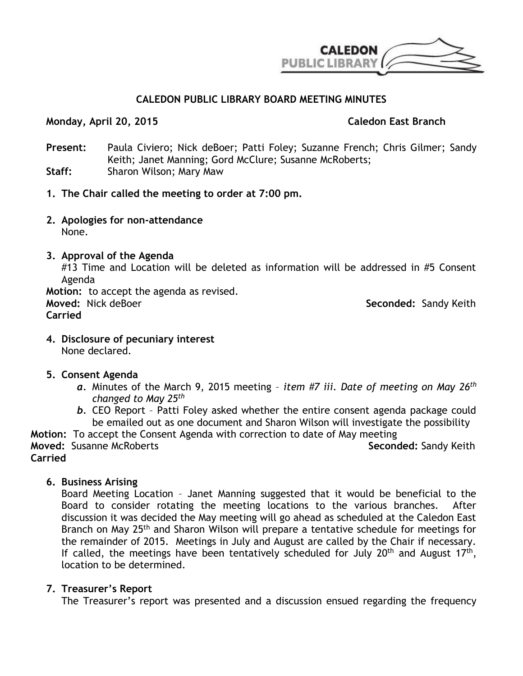

# **CALEDON PUBLIC LIBRARY BOARD MEETING MINUTES**

#### **Monday, April 20, 2015 Caledon East Branch**

- **Present:** Paula Civiero; Nick deBoer; Patti Foley; Suzanne French; Chris Gilmer; Sandy Keith; Janet Manning; Gord McClure; Susanne McRoberts; **Staff:** Sharon Wilson; Mary Maw
- **1. The Chair called the meeting to order at 7:00 pm.**
- **2. Apologies for non-attendance** None.
- **3. Approval of the Agenda**

#13 Time and Location will be deleted as information will be addressed in #5 Consent Agenda

**Motion:** to accept the agenda as revised. **Moved:** Nick deBoer **Seconded:** Sandy Keith **Carried**

- **4. Disclosure of pecuniary interest** None declared.
- **5. Consent Agenda**
	- *a.* Minutes of the March 9, 2015 meeting *item #7 iii. Date of meeting on May 26th changed to May 25th*
	- *b.* CEO Report Patti Foley asked whether the entire consent agenda package could be emailed out as one document and Sharon Wilson will investigate the possibility

**Motion:** To accept the Consent Agenda with correction to date of May meeting **Moved:** Susanne McRoberts **Seconded:** Sandy Keith **Carried**

**6. Business Arising**

Board Meeting Location – Janet Manning suggested that it would be beneficial to the Board to consider rotating the meeting locations to the various branches. After discussion it was decided the May meeting will go ahead as scheduled at the Caledon East Branch on May 25<sup>th</sup> and Sharon Wilson will prepare a tentative schedule for meetings for the remainder of 2015. Meetings in July and August are called by the Chair if necessary. If called, the meetings have been tentatively scheduled for July  $20<sup>th</sup>$  and August 17<sup>th</sup>, location to be determined.

# **7. Treasurer's Report**

The Treasurer's report was presented and a discussion ensued regarding the frequency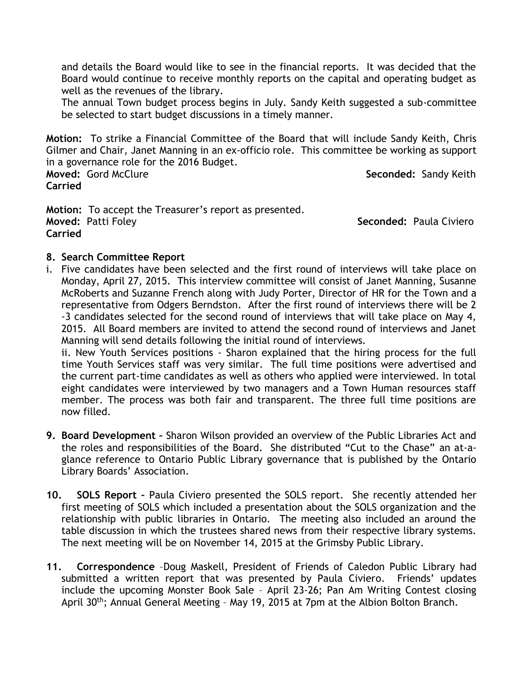and details the Board would like to see in the financial reports. It was decided that the Board would continue to receive monthly reports on the capital and operating budget as well as the revenues of the library.

The annual Town budget process begins in July. Sandy Keith suggested a sub-committee be selected to start budget discussions in a timely manner.

**Motion:** To strike a Financial Committee of the Board that will include Sandy Keith, Chris Gilmer and Chair, Janet Manning in an ex-officio role. This committee be working as support in a governance role for the 2016 Budget.

**Carried**

**Moved:** Gord McClure **Seconded:** Sandy Keith

**Motion:** To accept the Treasurer's report as presented. **Moved:** Patti Foley **Seconded:** Paula Civiero **Carried**

# **8. Search Committee Report**

i. Five candidates have been selected and the first round of interviews will take place on Monday, April 27, 2015. This interview committee will consist of Janet Manning, Susanne McRoberts and Suzanne French along with Judy Porter, Director of HR for the Town and a representative from Odgers Berndston. After the first round of interviews there will be 2 -3 candidates selected for the second round of interviews that will take place on May 4, 2015. All Board members are invited to attend the second round of interviews and Janet Manning will send details following the initial round of interviews.

ii. New Youth Services positions - Sharon explained that the hiring process for the full time Youth Services staff was very similar. The full time positions were advertised and the current part-time candidates as well as others who applied were interviewed. In total eight candidates were interviewed by two managers and a Town Human resources staff member. The process was both fair and transparent. The three full time positions are now filled.

- **9. Board Development –** Sharon Wilson provided an overview of the Public Libraries Act and the roles and responsibilities of the Board. She distributed "Cut to the Chase" an at-aglance reference to Ontario Public Library governance that is published by the Ontario Library Boards' Association.
- **10. SOLS Report –** Paula Civiero presented the SOLS report. She recently attended her first meeting of SOLS which included a presentation about the SOLS organization and the relationship with public libraries in Ontario. The meeting also included an around the table discussion in which the trustees shared news from their respective library systems. The next meeting will be on November 14, 2015 at the Grimsby Public Library.
- **11. Correspondence** –Doug Maskell, President of Friends of Caledon Public Library had submitted a written report that was presented by Paula Civiero. Friends' updates include the upcoming Monster Book Sale – April 23-26; Pan Am Writing Contest closing April 30th; Annual General Meeting – May 19, 2015 at 7pm at the Albion Bolton Branch.